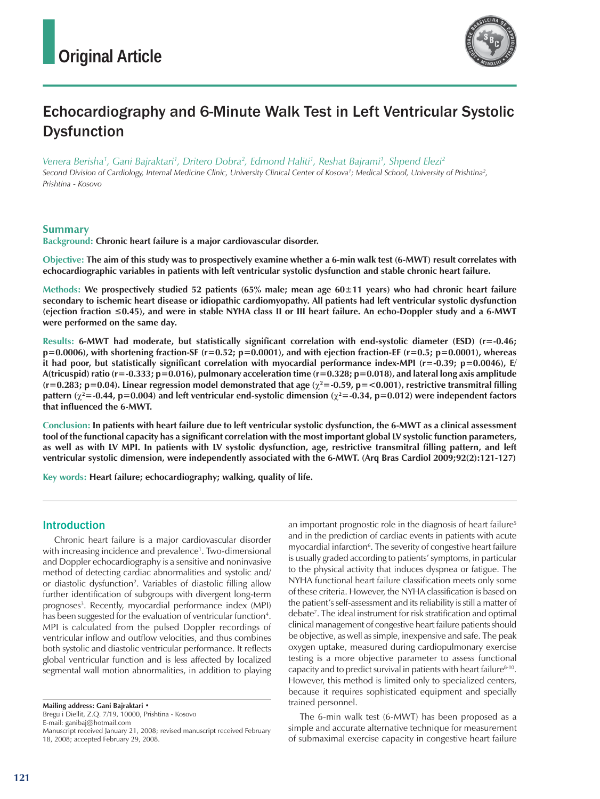

# Echocardiography and 6-Minute Walk Test in Left Ventricular Systolic **Dysfunction**

*Venera Berisha1 , Gani Bajraktari1 , Dritero Dobra2 , Edmond Haliti1 , Reshat Bajrami1 , Shpend Elezi2*

*Second Division of Cardiology, Internal Medicine Clinic, University Clinical Center of Kosova1 ; Medical School, University of Prishtina2 , Prishtina - Kosovo*

## **Summary**

**Background: Chronic heart failure is a major cardiovascular disorder.**

**Objective: The aim of this study was to prospectively examine whether a 6-min walk test (6-MWT) result correlates with echocardiographic variables in patients with left ventricular systolic dysfunction and stable chronic heart failure.**

**Methods: We prospectively studied 52 patients (65% male; mean age 60±11 years) who had chronic heart failure secondary to ischemic heart disease or idiopathic cardiomyopathy. All patients had left ventricular systolic dysfunction (ejection fraction ≤0.45), and were in stable NYHA class II or III heart failure. An echo-Doppler study and a 6-MWT were performed on the same day.**

**Results: 6-MWT had moderate, but statistically significant correlation with end-systolic diameter (ESD) (r=-0.46; p=0.0006), with shortening fraction-SF (r=0.52; p=0.0001), and with ejection fraction-EF (r=0.5; p=0.0001), whereas it had poor, but statistically significant correlation with myocardial performance index-MPI (r=-0.39; p=0.0046), E/ A(tricuspid) ratio (r=-0.333; p=0.016), pulmonary acceleration time (r=0.328; p=0.018), and lateral long axis amplitude**  (r=0.283; p=0.04). Linear regression model demonstrated that age ( $\chi^2$ =-0.59, p=<0.001), restrictive transmitral filling pattern ( $\chi^2$ =-0.44, p=0.004) and left ventricular end-systolic dimension ( $\chi^2$ =-0.34, p=0.012) were independent factors **that influenced the 6-MWT.**

**Conclusion: In patients with heart failure due to left ventricular systolic dysfunction, the 6-MWT as a clinical assessment tool of the functional capacity has a significant correlation with the most important global LV systolic function parameters,**  as well as with LV MPI. In patients with LV systolic dysfunction, age, restrictive transmitral filling pattern, and left **ventricular systolic dimension, were independently associated with the 6-MWT. (Arq Bras Cardiol 2009;92(2):121-127)**

**Key words: Heart failure; echocardiography; walking, quality of life.**

## Introduction

Chronic heart failure is a major cardiovascular disorder with increasing incidence and prevalence<sup>1</sup>. Two-dimensional and Doppler echocardiography is a sensitive and noninvasive method of detecting cardiac abnormalities and systolic and/ or diastolic dysfunction<sup>2</sup>. Variables of diastolic filling allow further identification of subgroups with divergent long-term prognoses<sup>3</sup>. Recently, myocardial performance index (MPI) has been suggested for the evaluation of ventricular function<sup>4</sup>. MPI is calculated from the pulsed Doppler recordings of ventricular inflow and outflow velocities, and thus combines both systolic and diastolic ventricular performance. It reflects global ventricular function and is less affected by localized segmental wall motion abnormalities, in addition to playing

**Mailing address: Gani Bajraktari •** 

Bregu i Diellit, Z.Q. 7/19, 10000, Prishtina - Kosovo

E-mail: ganibaj@hotmail.com

an important prognostic role in the diagnosis of heart failure<sup>5</sup> and in the prediction of cardiac events in patients with acute myocardial infarction<sup>6</sup>. The severity of congestive heart failure is usually graded according to patients' symptoms, in particular to the physical activity that induces dyspnea or fatigue. The NYHA functional heart failure classification meets only some of these criteria. However, the NYHA classification is based on the patient's self-assessment and its reliability is still a matter of debate7 . The ideal instrument for risk stratification and optimal clinical management of congestive heart failure patients should be objective, as well as simple, inexpensive and safe. The peak oxygen uptake, measured during cardiopulmonary exercise testing is a more objective parameter to assess functional capacity and to predict survival in patients with heart failure<sup>8-10</sup>. However, this method is limited only to specialized centers, because it requires sophisticated equipment and specially trained personnel.

The 6-min walk test (6-MWT) has been proposed as a simple and accurate alternative technique for measurement of submaximal exercise capacity in congestive heart failure

Manuscript received January 21, 2008; revised manuscript received February 18, 2008; accepted February 29, 2008.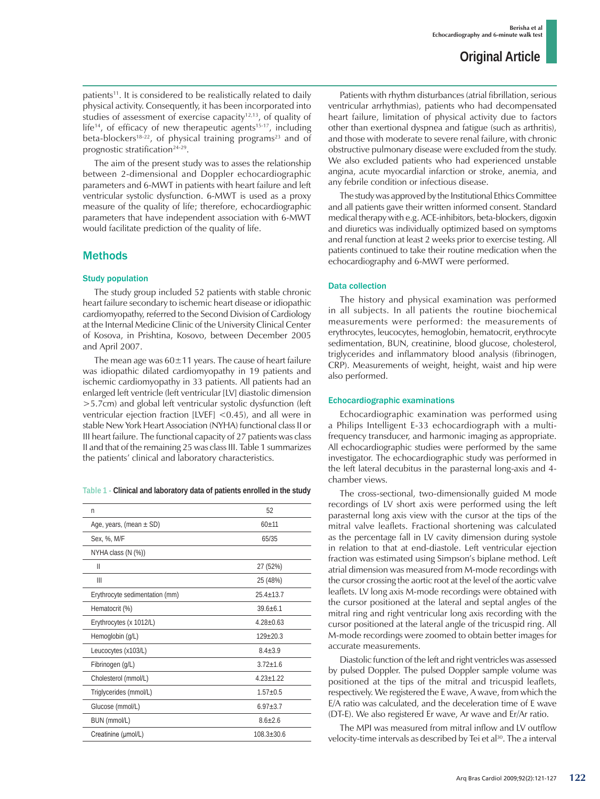patients<sup>11</sup>. It is considered to be realistically related to daily physical activity. Consequently, it has been incorporated into studies of assessment of exercise capacity<sup>12,13</sup>, of quality of life<sup>14</sup>, of efficacy of new therapeutic agents<sup>15-17</sup>, including beta-blockers<sup>18-22</sup>, of physical training programs<sup>23</sup> and of prognostic stratification<sup>24-29</sup>.

The aim of the present study was to asses the relationship between 2-dimensional and Doppler echocardiographic parameters and 6-MWT in patients with heart failure and left ventricular systolic dysfunction. 6-MWT is used as a proxy measure of the quality of life; therefore, echocardiographic parameters that have independent association with 6-MWT would facilitate prediction of the quality of life.

## Methods

### Study population

The study group included 52 patients with stable chronic heart failure secondary to ischemic heart disease or idiopathic cardiomyopathy, referred to the Second Division of Cardiology at the Internal Medicine Clinic of the University Clinical Center of Kosova, in Prishtina, Kosovo, between December 2005 and April 2007.

The mean age was  $60\pm11$  years. The cause of heart failure was idiopathic dilated cardiomyopathy in 19 patients and ischemic cardiomyopathy in 33 patients. All patients had an enlarged left ventricle (left ventricular [LV] diastolic dimension >5.7cm) and global left ventricular systolic dysfunction (left ventricular ejection fraction [LVEF] <0.45), and all were in stable New York Heart Association (NYHA) functional class II or III heart failure. The functional capacity of 27 patients was class II and that of the remaining 25 was class III. Table 1 summarizes the patients' clinical and laboratory characteristics.

**Table 1 - Clinical and laboratory data of patients enrolled in the study**

| n                              | 52             |
|--------------------------------|----------------|
| Age, years, (mean $\pm$ SD)    | $60 + 11$      |
| Sex, %, M/F                    | 65/35          |
| NYHA class (N (%))             |                |
| $\mathsf{II}$                  | 27 (52%)       |
| Ш                              | 25 (48%)       |
| Erythrocyte sedimentation (mm) | $25.4 + 13.7$  |
| Hematocrit (%)                 | $39.6 + 6.1$   |
| Erythrocytes (x 1012/L)        | $4.28 + 0.63$  |
| Hemoglobin (g/L)               | $129 + 20.3$   |
| Leucocytes (x103/L)            | $8.4 + 3.9$    |
| Fibrinogen (g/L)               | $3.72 + 1.6$   |
| Cholesterol (mmol/L)           | $4.23 + 1.22$  |
| Triglycerides (mmol/L)         | $1.57 + 0.5$   |
| Glucose (mmol/L)               | $6.97 + 3.7$   |
| BUN (mmol/L)                   | $8.6 + 2.6$    |
| Creatinine (µmol/L)            | $108.3 + 30.6$ |

Patients with rhythm disturbances (atrial fibrillation, serious ventricular arrhythmias), patients who had decompensated heart failure, limitation of physical activity due to factors other than exertional dyspnea and fatigue (such as arthritis), and those with moderate to severe renal failure, with chronic obstructive pulmonary disease were excluded from the study. We also excluded patients who had experienced unstable angina, acute myocardial infarction or stroke, anemia, and any febrile condition or infectious disease.

The study was approved by the Institutional Ethics Committee and all patients gave their written informed consent. Standard medical therapy with e.g. ACE-inhibitors, beta-blockers, digoxin and diuretics was individually optimized based on symptoms and renal function at least 2 weeks prior to exercise testing. All patients continued to take their routine medication when the echocardiography and 6-MWT were performed.

## Data collection

The history and physical examination was performed in all subjects. In all patients the routine biochemical measurements were performed: the measurements of erythrocytes, leucocytes, hemoglobin, hematocrit, erythrocyte sedimentation, BUN, creatinine, blood glucose, cholesterol, triglycerides and inflammatory blood analysis (fibrinogen, CRP). Measurements of weight, height, waist and hip were also performed.

#### Echocardiographic examinations

Echocardiographic examination was performed using a Philips Intelligent E-33 echocardiograph with a multifrequency transducer, and harmonic imaging as appropriate. All echocardiographic studies were performed by the same investigator. The echocardiographic study was performed in the left lateral decubitus in the parasternal long-axis and 4 chamber views.

The cross-sectional, two-dimensionally guided M mode recordings of LV short axis were performed using the left parasternal long axis view with the cursor at the tips of the mitral valve leaflets. Fractional shortening was calculated as the percentage fall in LV cavity dimension during systole in relation to that at end-diastole. Left ventricular ejection fraction was estimated using Simpson's biplane method. Left atrial dimension was measured from M-mode recordings with the cursor crossing the aortic root at the level of the aortic valve leaflets. LV long axis M-mode recordings were obtained with the cursor positioned at the lateral and septal angles of the mitral ring and right ventricular long axis recording with the cursor positioned at the lateral angle of the tricuspid ring. All M-mode recordings were zoomed to obtain better images for accurate measurements.

Diastolic function of the left and right ventricles was assessed by pulsed Doppler. The pulsed Doppler sample volume was positioned at the tips of the mitral and tricuspid leaflets, respectively. We registered the E wave, A wave, from which the E/A ratio was calculated, and the deceleration time of E wave (DT-E). We also registered Er wave, Ar wave and Er/Ar ratio.

The MPI was measured from mitral inflow and LV outflow velocity-time intervals as described by Tei et al<sup>30</sup>. The *a* interval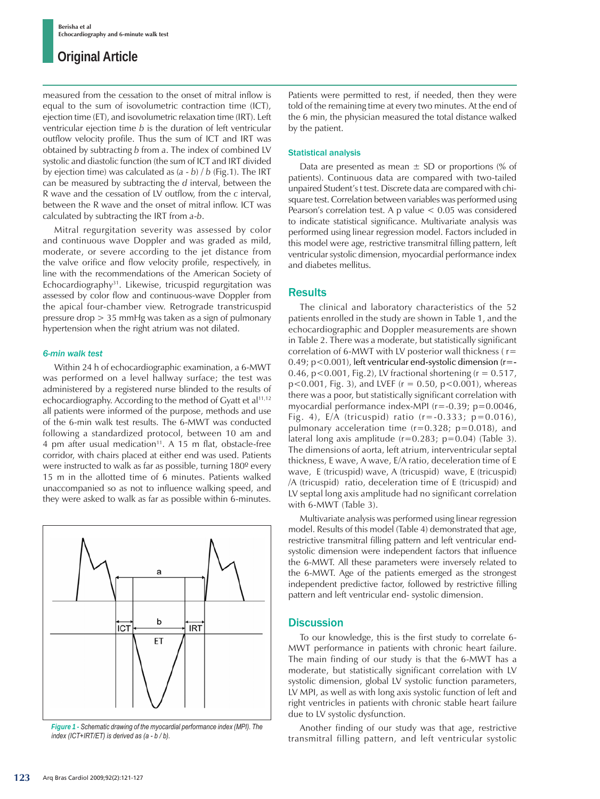measured from the cessation to the onset of mitral inflow is equal to the sum of isovolumetric contraction time (ICT), ejection time (ET), and isovolumetric relaxation time (IRT). Left ventricular ejection time *b* is the duration of left ventricular outflow velocity profile. Thus the sum of ICT and IRT was obtained by subtracting *b* from *a*. The index of combined LV systolic and diastolic function (the sum of ICT and IRT divided by ejection time) was calculated as (*a* - *b*) / *b* (Fig.1). The IRT can be measured by subtracting the *d* interval, between the R wave and the cessation of LV outflow, from the *c* interval, between the R wave and the onset of mitral inflow. ICT was calculated by subtracting the IRT from *a*-*b*.

Mitral regurgitation severity was assessed by color and continuous wave Doppler and was graded as mild, moderate, or severe according to the jet distance from the valve orifice and flow velocity profile, respectively, in line with the recommendations of the American Society of Echocardiography31. Likewise, tricuspid regurgitation was assessed by color flow and continuous-wave Doppler from the apical four-chamber view. Retrograde transtricuspid pressure drop > 35 mmHg was taken as a sign of pulmonary hypertension when the right atrium was not dilated.

### *6-min walk test*

Within 24 h of echocardiographic examination, a 6-MWT was performed on a level hallway surface; the test was administered by a registered nurse blinded to the results of echocardiography. According to the method of Gyatt et al<sup>11,12</sup> all patients were informed of the purpose, methods and use of the 6-min walk test results. The 6-MWT was conducted following a standardized protocol, between 10 am and 4 pm after usual medication<sup>11</sup>. A 15 m flat, obstacle-free corridor, with chairs placed at either end was used. Patients were instructed to walk as far as possible, turning 180<sup>°</sup> every 15 m in the allotted time of 6 minutes. Patients walked unaccompanied so as not to influence walking speed, and they were asked to walk as far as possible within 6-minutes.



*Figure 1 - Schematic drawing of the myocardial performance index (MPI). The index (ICT+IRT/ET) is derived as (a - b / b).*

Patients were permitted to rest, if needed, then they were told of the remaining time at every two minutes. At the end of the 6 min, the physician measured the total distance walked by the patient.

#### Statistical analysis

Data are presented as mean  $\pm$  SD or proportions (% of patients). Continuous data are compared with two-tailed unpaired Student's t test. Discrete data are compared with chisquare test. Correlation between variables was performed using Pearson's correlation test. A p value < 0.05 was considered to indicate statistical significance. Multivariate analysis was performed using linear regression model. Factors included in this model were age, restrictive transmitral filling pattern, left ventricular systolic dimension, myocardial performance index and diabetes mellitus.

## **Results**

The clinical and laboratory characteristics of the 52 patients enrolled in the study are shown in Table 1, and the echocardiographic and Doppler measurements are shown in Table 2. There was a moderate, but statistically significant correlation of 6-MWT with LV posterior wall thickness ( r= 0.49; p<0.001), left ventricular end-systolic dimension (r=- 0.46,  $p < 0.001$ , Fig.2), LV fractional shortening ( $r = 0.517$ ,  $p$ <0.001, Fig. 3), and LVEF ( $r = 0.50$ ,  $p$ <0.001), whereas there was a poor, but statistically significant correlation with myocardial performance index-MPI (r=-0.39; p=0.0046, Fig. 4),  $E/A$  (tricuspid) ratio ( $r = -0.333$ ;  $p = 0.016$ ), pulmonary acceleration time  $(r=0.328; p=0.018)$ , and lateral long axis amplitude  $(r=0.283; p=0.04)$  (Table 3). The dimensions of aorta, left atrium, interventricular septal thickness, E wave, A wave, E/A ratio, deceleration time of E wave, E (tricuspid) wave, A (tricuspid) wave, E (tricuspid) /A (tricuspid) ratio, deceleration time of E (tricuspid) and LV septal long axis amplitude had no significant correlation with 6-MWT (Table 3).

Multivariate analysis was performed using linear regression model. Results of this model (Table 4) demonstrated that age, restrictive transmitral filling pattern and left ventricular endsystolic dimension were independent factors that influence the 6-MWT. All these parameters were inversely related to the 6-MWT. Age of the patients emerged as the strongest independent predictive factor, followed by restrictive filling pattern and left ventricular end- systolic dimension.

## **Discussion**

To our knowledge, this is the first study to correlate 6- MWT performance in patients with chronic heart failure. The main finding of our study is that the 6-MWT has a moderate, but statistically significant correlation with LV systolic dimension, global LV systolic function parameters, LV MPI, as well as with long axis systolic function of left and right ventricles in patients with chronic stable heart failure due to LV systolic dysfunction.

Another finding of our study was that age, restrictive transmitral filling pattern, and left ventricular systolic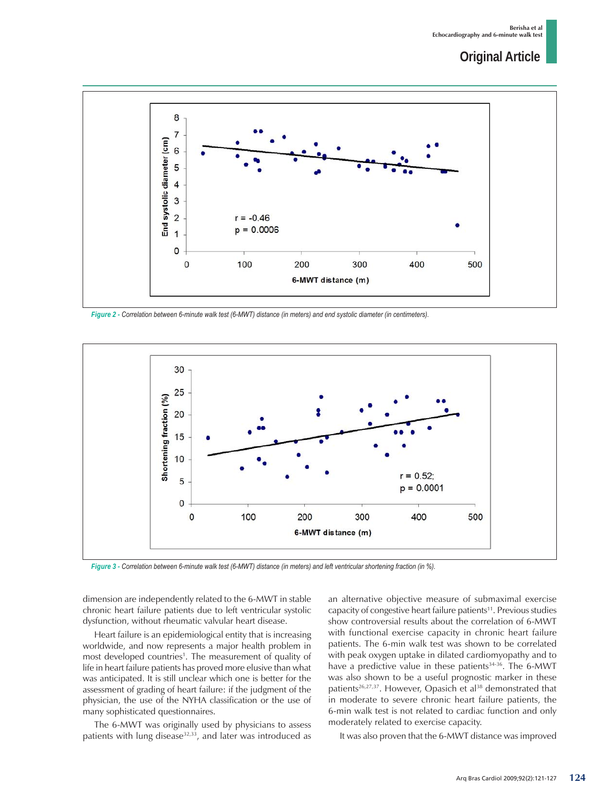

*Figure 2 - Correlation between 6-minute walk test (6-MWT) distance (in meters) and end systolic diameter (in centimeters).*



*Figure 3 - Correlation between 6-minute walk test (6-MWT) distance (in meters) and left ventricular shortening fraction (in %).*

dimension are independently related to the 6-MWT in stable chronic heart failure patients due to left ventricular systolic dysfunction, without rheumatic valvular heart disease.

Heart failure is an epidemiological entity that is increasing worldwide, and now represents a major health problem in most developed countries<sup>1</sup>. The measurement of quality of life in heart failure patients has proved more elusive than what was anticipated. It is still unclear which one is better for the assessment of grading of heart failure: if the judgment of the physician, the use of the NYHA classification or the use of many sophisticated questionnaires.

The 6-MWT was originally used by physicians to assess patients with lung disease $32,33$ , and later was introduced as an alternative objective measure of submaximal exercise capacity of congestive heart failure patients<sup>11</sup>. Previous studies show controversial results about the correlation of 6-MWT with functional exercise capacity in chronic heart failure patients. The 6-min walk test was shown to be correlated with peak oxygen uptake in dilated cardiomyopathy and to have a predictive value in these patients<sup>34-36</sup>. The 6-MWT was also shown to be a useful prognostic marker in these patients<sup>26,27,37</sup>. However, Opasich et al<sup>38</sup> demonstrated that in moderate to severe chronic heart failure patients, the 6-min walk test is not related to cardiac function and only moderately related to exercise capacity.

It was also proven that the 6-MWT distance was improved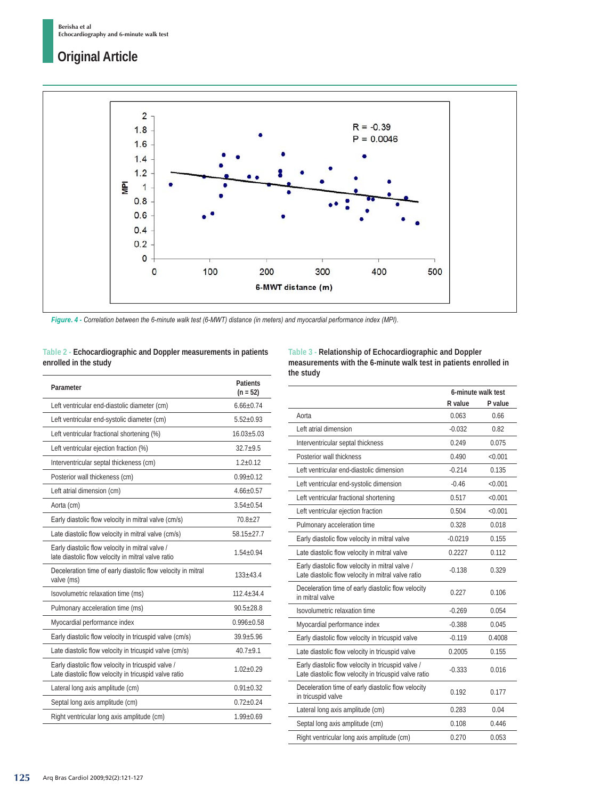

*Figure. 4 - Correlation between the 6-minute walk test (6-MWT) distance (in meters) and myocardial performance index (MPI).*

## **Table 2 - Echocardiographic and Doppler measurements in patients enrolled in the study**

| Parameter                                                                                                   | <b>Patients</b><br>$(n = 52)$ |
|-------------------------------------------------------------------------------------------------------------|-------------------------------|
| Left ventricular end-diastolic diameter (cm)                                                                | $6.66 + 0.74$                 |
| Left ventricular end-systolic diameter (cm)                                                                 | $5.52 + 0.93$                 |
| Left ventricular fractional shortening (%)                                                                  | $16.03 + 5.03$                |
| Left ventricular ejection fraction (%)                                                                      | $32.7 + 9.5$                  |
| Interventricular septal thickeness (cm)                                                                     | $1.2 + 0.12$                  |
| Posterior wall thickeness (cm)                                                                              | $0.99 + 0.12$                 |
| Left atrial dimension (cm)                                                                                  | $4.66 + 0.57$                 |
| Aorta (cm)                                                                                                  | $3.54 + 0.54$                 |
| Early diastolic flow velocity in mitral valve (cm/s)                                                        | $70.8 + 27$                   |
| Late diastolic flow velocity in mitral valve (cm/s)                                                         | $58.15 + 27.7$                |
| Early diastolic flow velocity in mitral valve /<br>late diastolic flow velocity in mitral valve ratio       | $1.54 + 0.94$                 |
| Deceleration time of early diastolic flow velocity in mitral<br>valve (ms)                                  | $133 + 43.4$                  |
| Isovolumetric relaxation time (ms)                                                                          | $112.4 + 34.4$                |
| Pulmonary acceleration time (ms)                                                                            | $90.5 + 28.8$                 |
| Myocardial performance index                                                                                | $0.996 + 0.58$                |
| Early diastolic flow velocity in tricuspid valve (cm/s)                                                     | $39.9 + 5.96$                 |
| Late diastolic flow velocity in tricuspid valve (cm/s)                                                      | $40.7 + 9.1$                  |
| Early diastolic flow velocity in tricuspid valve /<br>Late diastolic flow velocity in tricuspid valve ratio | $1.02 + 0.29$                 |
| Lateral long axis amplitude (cm)                                                                            | $0.91 + 0.32$                 |
| Septal long axis amplitude (cm)                                                                             | $0.72 + 0.24$                 |
| Right ventricular long axis amplitude (cm)                                                                  | $1.99 + 0.69$                 |
|                                                                                                             |                               |

**Table 3 - Relationship of Echocardiographic and Doppler measurements with the 6-minute walk test in patients enrolled in the study**

|                                                                                                             | 6-minute walk test |           |
|-------------------------------------------------------------------------------------------------------------|--------------------|-----------|
|                                                                                                             | R value            | P value   |
| Aorta                                                                                                       | 0.063              | 0.66      |
| Left atrial dimension                                                                                       | $-0.032$           | 0.82      |
| Interventricular septal thickness                                                                           | 0.249              | 0.075     |
| Posterior wall thickness                                                                                    | 0.490              | < 0.001   |
| Left ventricular end-diastolic dimension<br>Left ventricular end-systolic dimension                         | $-0.214$           | 0.135     |
|                                                                                                             | $-0.46$            | < 0.001   |
| Left ventricular fractional shortening                                                                      | 0.517              | < 0.001   |
| Left ventricular ejection fraction                                                                          | 0.504              | $<$ 0.001 |
| Pulmonary acceleration time                                                                                 | 0.328              | 0.018     |
| Early diastolic flow velocity in mitral valve                                                               | $-0.0219$          | 0.155     |
| Late diastolic flow velocity in mitral valve                                                                | 0.2227             | 0.112     |
| Early diastolic flow velocity in mitral valve /<br>Late diastolic flow velocity in mitral valve ratio       | $-0.138$           | 0.329     |
| Deceleration time of early diastolic flow velocity<br>in mitral valve                                       | 0.227              | 0.106     |
| Isovolumetric relaxation time                                                                               | $-0.269$           | 0.054     |
| Myocardial performance index                                                                                | $-0.388$           | 0.045     |
| Early diastolic flow velocity in tricuspid valve                                                            | $-0.119$           | 0.4008    |
| Late diastolic flow velocity in tricuspid valve                                                             | 0.2005             | 0.155     |
| Early diastolic flow velocity in tricuspid valve /<br>Late diastolic flow velocity in tricuspid valve ratio | $-0.333$           | 0.016     |
| Deceleration time of early diastolic flow velocity<br>in tricuspid valve                                    | 0.192              | 0.177     |
| Lateral long axis amplitude (cm)                                                                            | 0.283              | 0.04      |
| Septal long axis amplitude (cm)                                                                             | 0.108              | 0.446     |
| Right ventricular long axis amplitude (cm)                                                                  | 0.270              | 0.053     |
|                                                                                                             |                    |           |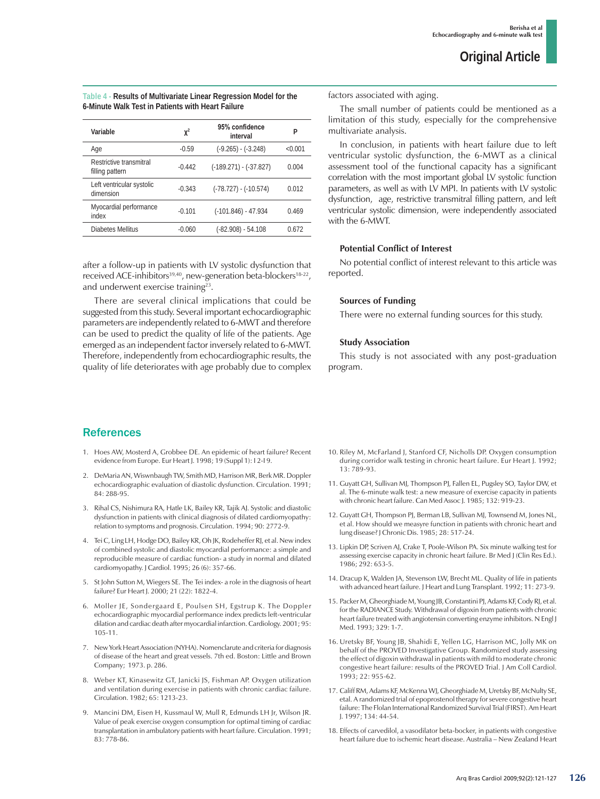| Table 4 - Results of Multivariate Linear Regression Model for the |  |
|-------------------------------------------------------------------|--|
| 6-Minute Walk Test in Patients with Heart Failure                 |  |

| Variable                                   | $\mathbf{X}^2$ | 95% confidence<br>interval | P        |
|--------------------------------------------|----------------|----------------------------|----------|
| Age                                        | $-0.59$        | $(-9.265) - (-3.248)$      | $<$ 0.01 |
| Restrictive transmitral<br>filling pattern | $-0.442$       | $(-189.271) - (-37.827)$   | 0.004    |
| Left ventricular systolic<br>dimension     | $-0.343$       | $(-78.727) - (-10.574)$    | 0.012    |
| Myocardial performance<br>index            | $-0.101$       | $(-101.846) - 47.934$      | 0.469    |
| Diabetes Mellitus                          | -0.060         | $(-82.908) - 54.108$       | 0.672    |

after a follow-up in patients with LV systolic dysfunction that received ACE-inhibitors<sup>39,40</sup>, new-generation beta-blockers<sup>18-22</sup>, and underwent exercise training<sup>23</sup>.

There are several clinical implications that could be suggested from this study. Several important echocardiographic parameters are independently related to 6-MWT and therefore can be used to predict the quality of life of the patients. Age emerged as an independent factor inversely related to 6-MWT. Therefore, independently from echocardiographic results, the quality of life deteriorates with age probably due to complex

References

- 1. Hoes AW, Mosterd A, Grobbee DE. An epidemic of heart failure? Recent evidence from Europe. Eur Heart J. 1998; 19 (Suppl 1): I 2-I 9.
- 2. DeMaria AN, Wiswnbaugh TW, Smith MD, Harrison MR, Berk MR. Doppler echocardiographic evaluation of diastolic dysfunction. Circulation. 1991; 84: 288-95.
- 3. Rihal CS, Nishimura RA, Hatle LK, Bailey KR, Tajik AJ. Systolic and diastolic dysfunction in patients with clinical diagnosis of dilated cardiomyopathy: relation to symptoms and prognosis. Circulation. 1994; 90: 2772-9.
- 4. Tei C, Ling LH, Hodge DO, Bailey KR, Oh JK, Rodeheffer RJ, et al. New index of combined systolic and diastolic myocardial performance: a simple and reproducible measure of cardiac function- a study in normal and dilated cardiomyopathy. J Cardiol. 1995; 26 (6): 357-66.
- 5. St John Sutton M, Wiegers SE. The Tei index- a role in the diagnosis of heart failure? Eur Heart J. 2000; 21 (22): 1822-4.
- 6. Moller JE, Sondergaard E, Poulsen SH, Egstrup K. The Doppler echocardiographic myocardial performance index predicts left-ventricular dilation and cardiac death after myocardial infarction. Cardiology. 2001; 95: 105-11.
- 7. New York Heart Association (NYHA). Nomenclarute and criteria for diagnosis of disease of the heart and great vessels. 7th ed. Boston: Little and Brown Company; 1973. p. 286.
- 8. Weber KT, Kinasewitz GT, Janicki JS, Fishman AP. Oxygen utilization and ventilation during exercise in patients with chronic cardiac failure. Circulation. 1982; 65: 1213-23.
- 9. Mancini DM, Eisen H, Kussmaul W, Mull R, Edmunds LH Jr, Wilson JR. Value of peak exercise oxygen consumption for optimal timing of cardiac transplantation in ambulatory patients with heart failure. Circulation. 1991; 83: 778-86.

factors associated with aging.

The small number of patients could be mentioned as a limitation of this study, especially for the comprehensive multivariate analysis.

In conclusion, in patients with heart failure due to left ventricular systolic dysfunction, the 6-MWT as a clinical assessment tool of the functional capacity has a significant correlation with the most important global LV systolic function parameters, as well as with LV MPI. In patients with LV systolic dysfunction, age, restrictive transmitral filling pattern, and left ventricular systolic dimension, were independently associated with the 6-MWT.

## **Potential Conflict of Interest**

No potential conflict of interest relevant to this article was reported.

### **Sources of Funding**

There were no external funding sources for this study.

## **Study Association**

This study is not associated with any post-graduation program.

- 10. Riley M, McFarland J, Stanford CF, Nicholls DP. Oxygen consumption during corridor walk testing in chronic heart failure. Eur Heart J. 1992; 13: 789-93.
- 11. Guyatt GH, Sullivan MJ, Thompson PJ, Fallen EL, Pugsley SO, Taylor DW, et al. The 6-minute walk test: a new measure of exercise capacity in patients with chronic heart failure. Can Med Assoc J. 1985; 132: 919-23.
- 12. Guyatt GH, Thompson PJ, Berman LB, Sullivan MJ, Townsend M, Jones NL, et al. How should we measyre function in patients with chronic heart and lung disease? J Chronic Dis. 1985; 28: 517-24.
- 13. Lipkin DP, Scriven AJ, Crake T, Poole-Wilson PA. Six minute walking test for assessing exercise capacity in chronic heart failure. Br Med J (Clin Res Ed.). 1986; 292: 653-5.
- 14. Dracup K, Walden JA, Stevenson LW, Brecht ML. Quality of life in patients with advanced heart failure. J Heart and Lung Transplant. 1992; 11: 273-9.
- 15. Packer M, Gheorghiade M, Young JB, Constantini PJ, Adams KF, Cody RJ, et al. for the RADIANCE Study. Withdrawal of digoxin from patients with chronic heart failure treated with angiotensin converting enzyme inhibitors. N Engl J Med. 1993; 329: 1-7.
- 16. Uretsky BF, Young JB, Shahidi E, Yellen LG, Harrison MC, Jolly MK on behalf of the PROVED Investigative Group. Randomized study assessing the effect of digoxin withdrawal in patients with mild to moderate chronic congestive heart failure: results of the PROVED Trial. J Am Coll Cardiol. 1993; 22: 955-62.
- 17. Califf RM, Adams KF, McKenna WJ, Gheorghiade M, Uretsky BF, McNulty SE, etal. A randomized trial of epoprostenol therapy for severe congestive heart failure: The Flolan International Randomized Survival Trial (FIRST). Am Heart J. 1997; 134: 44-54.
- 18. Effects of carvedilol, a vasodilator beta-bocker, in patients with congestive heart failure due to ischemic heart disease. Australia – New Zealand Heart